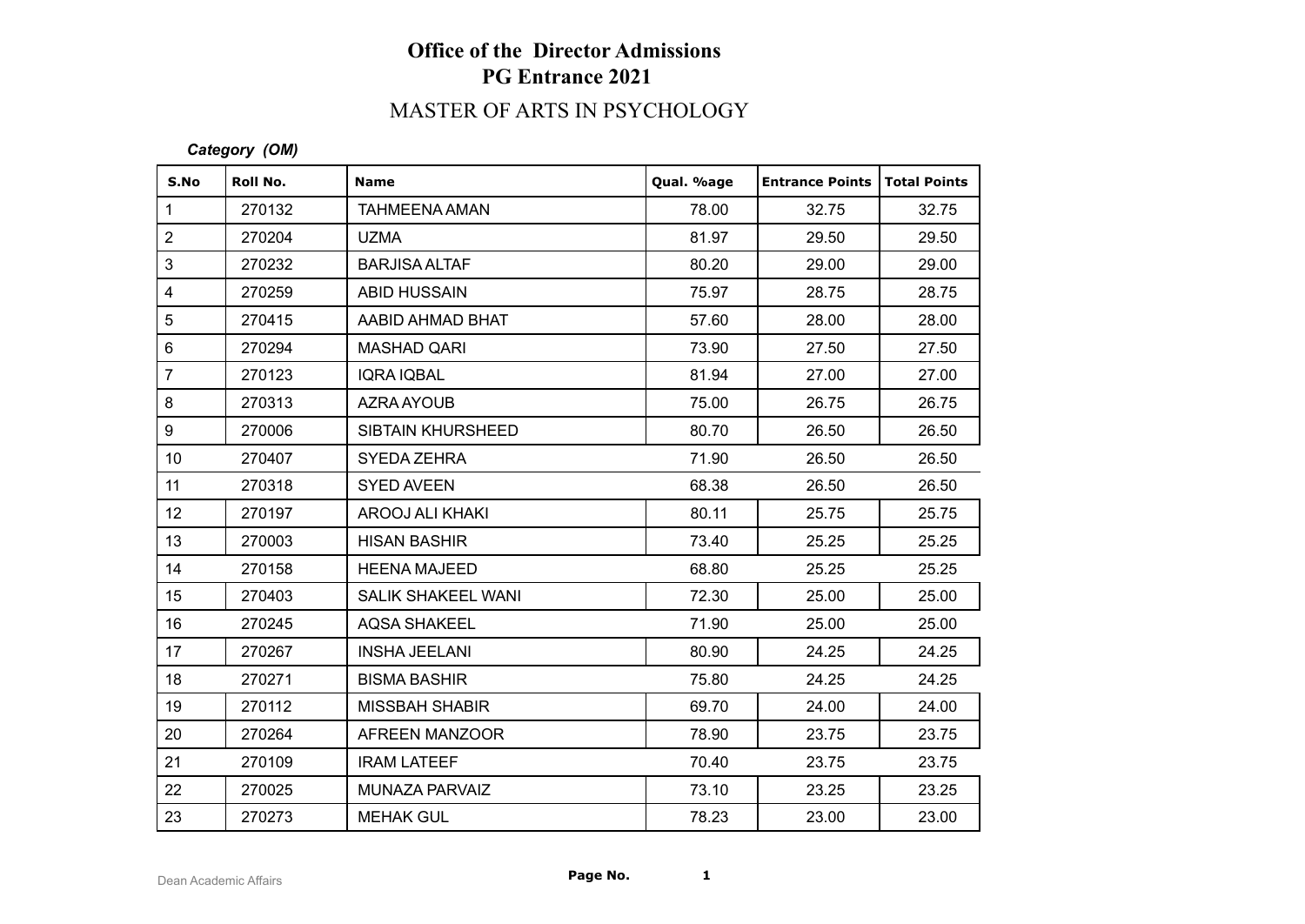# **Office of the Director Admissions PG Entrance 2021**

# MASTER OF ARTS IN PSYCHOLOGY

#### *Category (OM)*

| S.No             | Roll No. | <b>Name</b>              | Qual. %age | <b>Entrance Points   Total Points</b> |       |
|------------------|----------|--------------------------|------------|---------------------------------------|-------|
| $\mathbf{1}$     | 270132   | <b>TAHMEENA AMAN</b>     | 78.00      | 32.75                                 | 32.75 |
| $\overline{2}$   | 270204   | <b>UZMA</b>              | 81.97      | 29.50                                 | 29.50 |
| 3                | 270232   | <b>BARJISA ALTAF</b>     | 80.20      | 29.00                                 | 29.00 |
| $\overline{4}$   | 270259   | ABID HUSSAIN             | 75.97      | 28.75                                 | 28.75 |
| 5                | 270415   | AABID AHMAD BHAT         | 57.60      | 28.00                                 | 28.00 |
| $\,6\,$          | 270294   | <b>MASHAD QARI</b>       | 73.90      | 27.50                                 | 27.50 |
| $\overline{7}$   | 270123   | <b>IQRA IQBAL</b>        | 81.94      | 27.00                                 | 27.00 |
| 8                | 270313   | AZRA AYOUB               | 75.00      | 26.75                                 | 26.75 |
| 9                | 270006   | <b>SIBTAIN KHURSHEED</b> | 80.70      | 26.50                                 | 26.50 |
| 10 <sup>1</sup>  | 270407   | SYEDA ZEHRA              | 71.90      | 26.50                                 | 26.50 |
| 11               | 270318   | <b>SYED AVEEN</b>        | 68.38      | 26.50                                 | 26.50 |
| 12               | 270197   | AROOJ ALI KHAKI          | 80.11      | 25.75                                 | 25.75 |
| 13               | 270003   | <b>HISAN BASHIR</b>      | 73.40      | 25.25                                 | 25.25 |
| 14               | 270158   | <b>HEENA MAJEED</b>      | 68.80      | 25.25                                 | 25.25 |
| 15 <sub>15</sub> | 270403   | SALIK SHAKEEL WANI       | 72.30      | 25.00                                 | 25.00 |
| 16               | 270245   | <b>AQSA SHAKEEL</b>      | 71.90      | 25.00                                 | 25.00 |
| 17               | 270267   | <b>INSHA JEELANI</b>     | 80.90      | 24.25                                 | 24.25 |
| 18               | 270271   | <b>BISMA BASHIR</b>      | 75.80      | 24.25                                 | 24.25 |
| 19               | 270112   | <b>MISSBAH SHABIR</b>    | 69.70      | 24.00                                 | 24.00 |
| 20               | 270264   | AFREEN MANZOOR           | 78.90      | 23.75                                 | 23.75 |
| 21               | 270109   | <b>IRAM LATEEF</b>       | 70.40      | 23.75                                 | 23.75 |
| 22               | 270025   | <b>MUNAZA PARVAIZ</b>    | 73.10      | 23.25                                 | 23.25 |
| 23               | 270273   | <b>MEHAK GUL</b>         | 78.23      | 23.00                                 | 23.00 |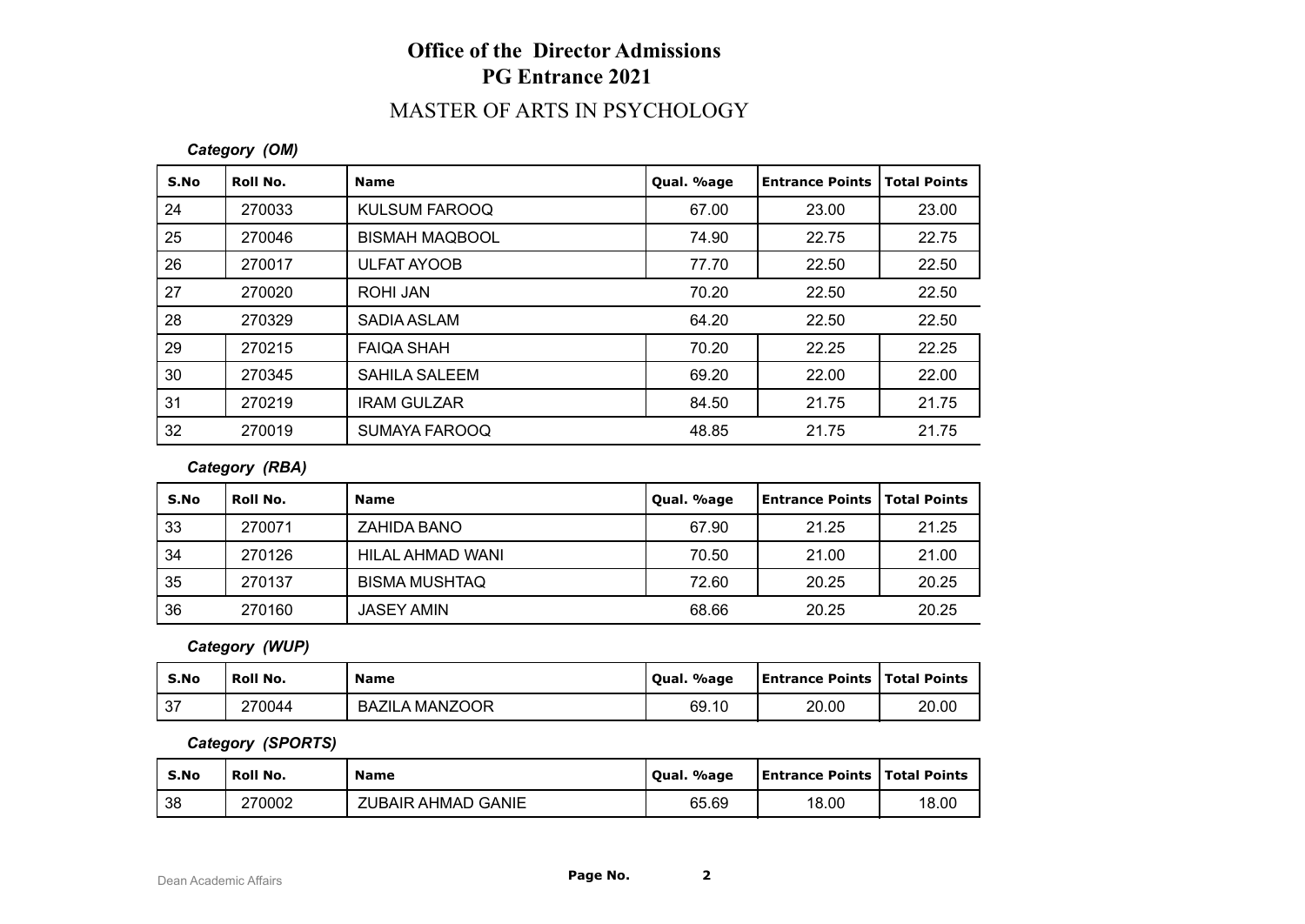## **Office of the Director Admissions PG Entrance 2021**

## MASTER OF ARTS IN PSYCHOLOGY

### *Category (OM)*

| S.No | Roll No. | <b>Name</b>           | Qual. %age | <b>Entrance Points</b> | <b>Total Points</b> |
|------|----------|-----------------------|------------|------------------------|---------------------|
| 24   | 270033   | <b>KULSUM FAROOQ</b>  | 67.00      | 23.00                  | 23.00               |
| 25   | 270046   | <b>BISMAH MAQBOOL</b> | 74.90      | 22.75                  | 22.75               |
| 26   | 270017   | <b>ULFAT AYOOB</b>    | 77.70      | 22.50                  | 22.50               |
| 27   | 270020   | ROHI JAN              | 70.20      | 22.50                  | 22.50               |
| 28   | 270329   | SADIA ASLAM           | 64.20      | 22.50                  | 22.50               |
| 29   | 270215   | <b>FAIQA SHAH</b>     | 70.20      | 22.25                  | 22.25               |
| 30   | 270345   | SAHILA SALEEM         | 69.20      | 22.00                  | 22.00               |
| 31   | 270219   | <b>IRAM GULZAR</b>    | 84.50      | 21.75                  | 21.75               |
| 32   | 270019   | <b>SUMAYA FAROOQ</b>  | 48.85      | 21.75                  | 21.75               |

### *Category (RBA)*

| S.No | Roll No. | <b>Name</b>          | Qual. %age | Entrance Points   Total Points |       |
|------|----------|----------------------|------------|--------------------------------|-------|
| 33   | 270071   | ZAHIDA BANO          | 67.90      | 21.25                          | 21.25 |
| 34   | 270126   | HILAL AHMAD WANI     | 70.50      | 21.00                          | 21.00 |
| 35   | 270137   | <b>BISMA MUSHTAQ</b> | 72.60      | 20.25                          | 20.25 |
| 36   | 270160   | <b>JASEY AMIN</b>    | 68.66      | 20.25                          | 20.25 |

### *Category (WUP)*

| S.No | Roll No. | <b>Name</b>           | Qual. %age | <b>Entrance Points   Total Points</b> |       |
|------|----------|-----------------------|------------|---------------------------------------|-------|
| . 37 | 270044   | <b>BAZILA MANZOOR</b> | 69.10      | 20.00                                 | 20.00 |

#### *Category (SPORTS)*

| S.No | Roll No. | <b>Name</b>                  | %age<br>Oual. | <b>Entrance Points   Total Points</b> |       |
|------|----------|------------------------------|---------------|---------------------------------------|-------|
| 38   | 270002   | AHMAD GANIE<br><b>ZUBAIR</b> | 65.69         | 18.00                                 | 18.00 |